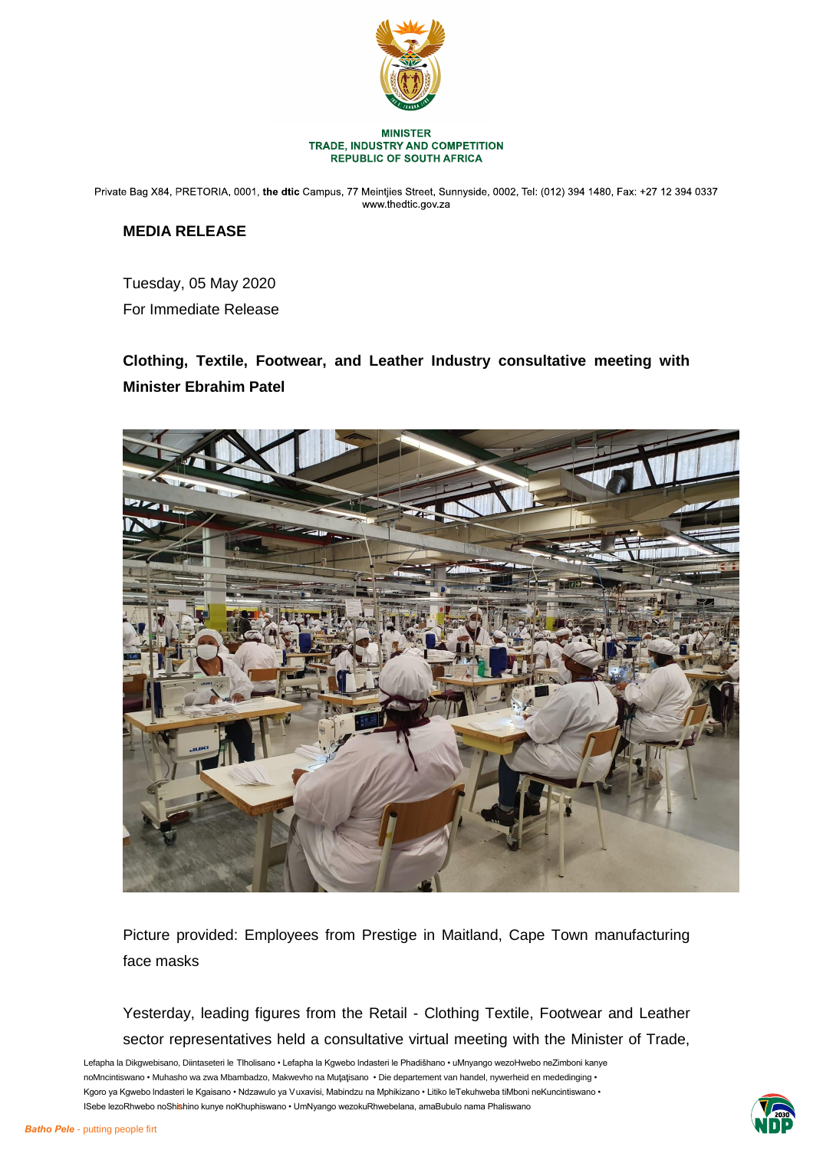

Private Bag X84, PRETORIA, 0001, the dtic Campus, 77 Meintjies Street, Sunnyside, 0002, Tel: (012) 394 1480, Fax: +27 12 394 0337 www.thedtic.gov.za

## **MEDIA RELEASE**

Tuesday, 05 May 2020

For Immediate Release

# **Clothing, Textile, Footwear, and Leather Industry consultative meeting with Minister Ebrahim Patel**



Picture provided: Employees from Prestige in Maitland, Cape Town manufacturing face masks

Yesterday, leading figures from the Retail - Clothing Textile, Footwear and Leather sector representatives held a consultative virtual meeting with the Minister of Trade,



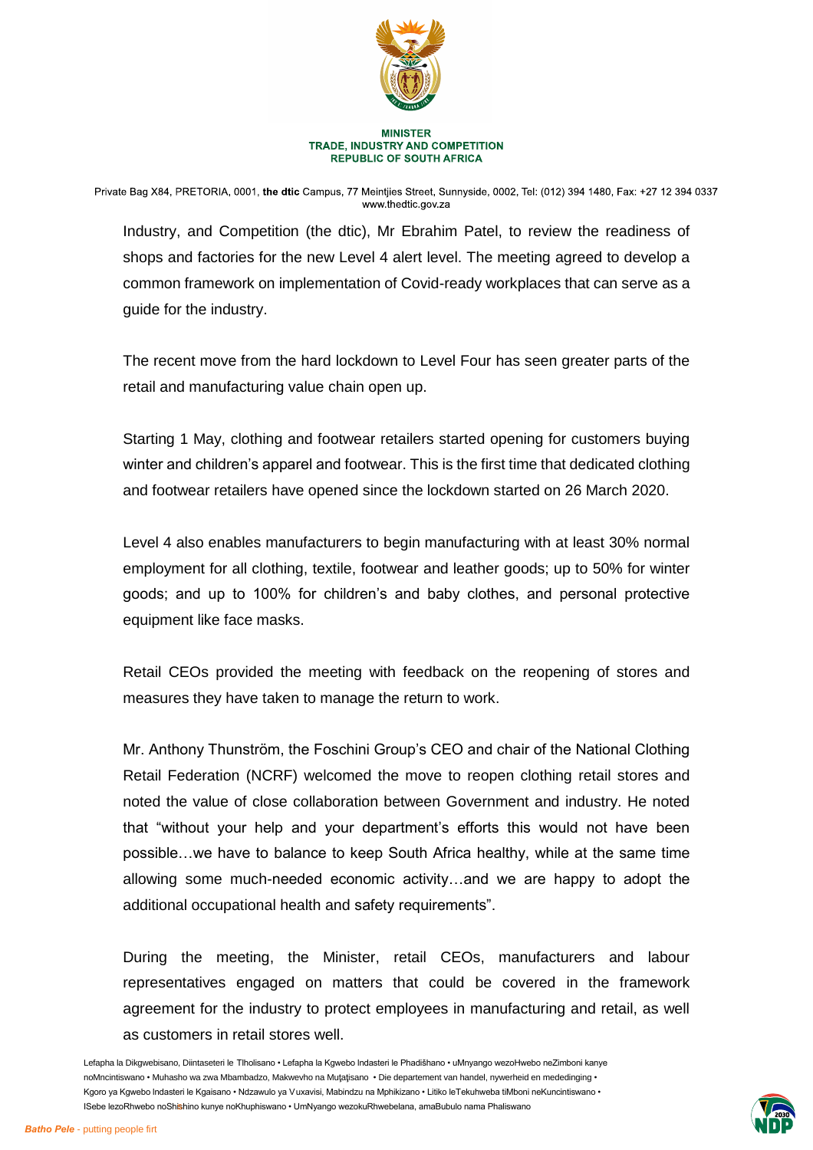

Private Bag X84, PRETORIA, 0001, the dtic Campus, 77 Meintjies Street, Sunnyside, 0002, Tel: (012) 394 1480, Fax: +27 12 394 0337 www.thedtic.gov.za

Industry, and Competition (the dtic), Mr Ebrahim Patel, to review the readiness of shops and factories for the new Level 4 alert level. The meeting agreed to develop a common framework on implementation of Covid-ready workplaces that can serve as a guide for the industry.

The recent move from the hard lockdown to Level Four has seen greater parts of the retail and manufacturing value chain open up.

Starting 1 May, clothing and footwear retailers started opening for customers buying winter and children's apparel and footwear. This is the first time that dedicated clothing and footwear retailers have opened since the lockdown started on 26 March 2020.

Level 4 also enables manufacturers to begin manufacturing with at least 30% normal employment for all clothing, textile, footwear and leather goods; up to 50% for winter goods; and up to 100% for children's and baby clothes, and personal protective equipment like face masks.

Retail CEOs provided the meeting with feedback on the reopening of stores and measures they have taken to manage the return to work.

Mr. Anthony Thunström, the Foschini Group's CEO and chair of the National Clothing Retail Federation (NCRF) welcomed the move to reopen clothing retail stores and noted the value of close collaboration between Government and industry. He noted that "without your help and your department's efforts this would not have been possible…we have to balance to keep South Africa healthy, while at the same time allowing some much-needed economic activity…and we are happy to adopt the additional occupational health and safety requirements".

During the meeting, the Minister, retail CEOs, manufacturers and labour representatives engaged on matters that could be covered in the framework agreement for the industry to protect employees in manufacturing and retail, as well as customers in retail stores well.

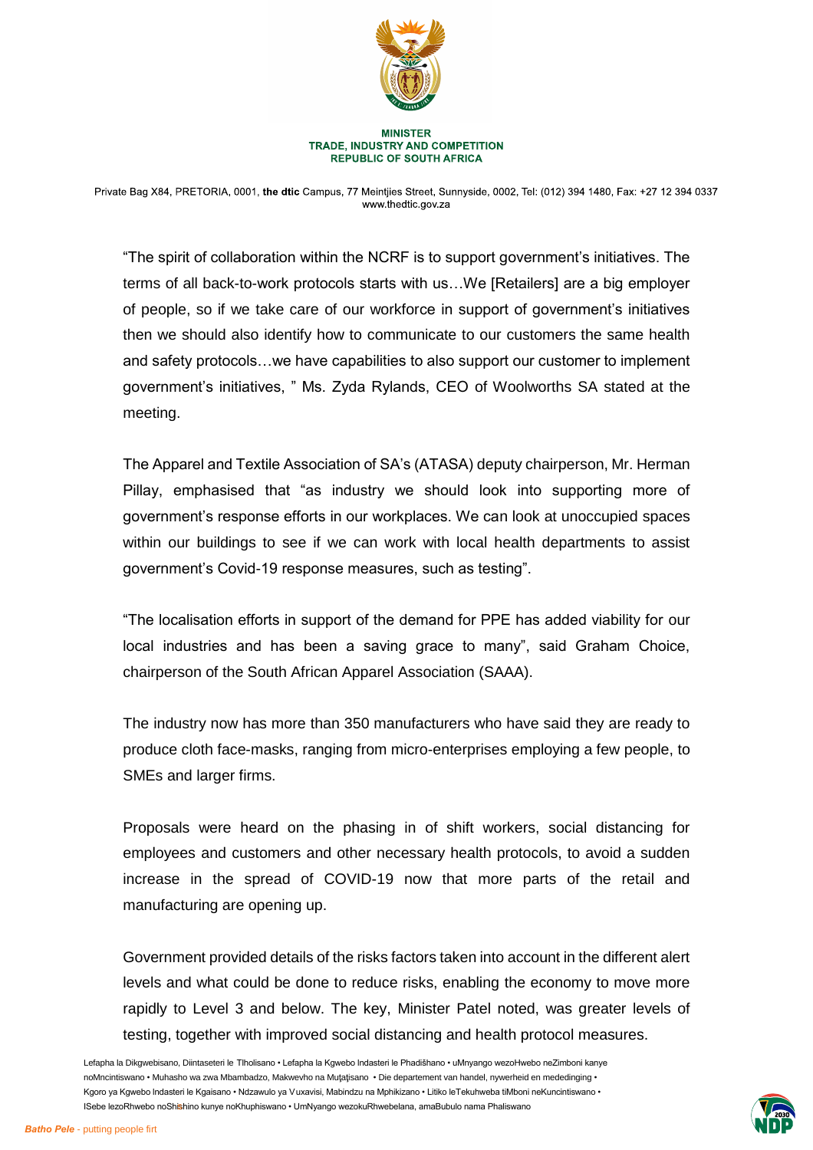

Private Bag X84, PRETORIA, 0001, the dtic Campus, 77 Meintjies Street, Sunnyside, 0002, Tel: (012) 394 1480, Fax: +27 12 394 0337 www.thedtic.gov.za

"The spirit of collaboration within the NCRF is to support government's initiatives. The terms of all back-to-work protocols starts with us…We [Retailers] are a big employer of people, so if we take care of our workforce in support of government's initiatives then we should also identify how to communicate to our customers the same health and safety protocols…we have capabilities to also support our customer to implement government's initiatives, " Ms. Zyda Rylands, CEO of Woolworths SA stated at the meeting.

The Apparel and Textile Association of SA's (ATASA) deputy chairperson, Mr. Herman Pillay, emphasised that "as industry we should look into supporting more of government's response efforts in our workplaces. We can look at unoccupied spaces within our buildings to see if we can work with local health departments to assist government's Covid-19 response measures, such as testing".

"The localisation efforts in support of the demand for PPE has added viability for our local industries and has been a saving grace to many", said Graham Choice, chairperson of the South African Apparel Association (SAAA).

The industry now has more than 350 manufacturers who have said they are ready to produce cloth face-masks, ranging from micro-enterprises employing a few people, to SMEs and larger firms.

Proposals were heard on the phasing in of shift workers, social distancing for employees and customers and other necessary health protocols, to avoid a sudden increase in the spread of COVID-19 now that more parts of the retail and manufacturing are opening up.

Government provided details of the risks factors taken into account in the different alert levels and what could be done to reduce risks, enabling the economy to move more rapidly to Level 3 and below. The key, Minister Patel noted, was greater levels of testing, together with improved social distancing and health protocol measures.

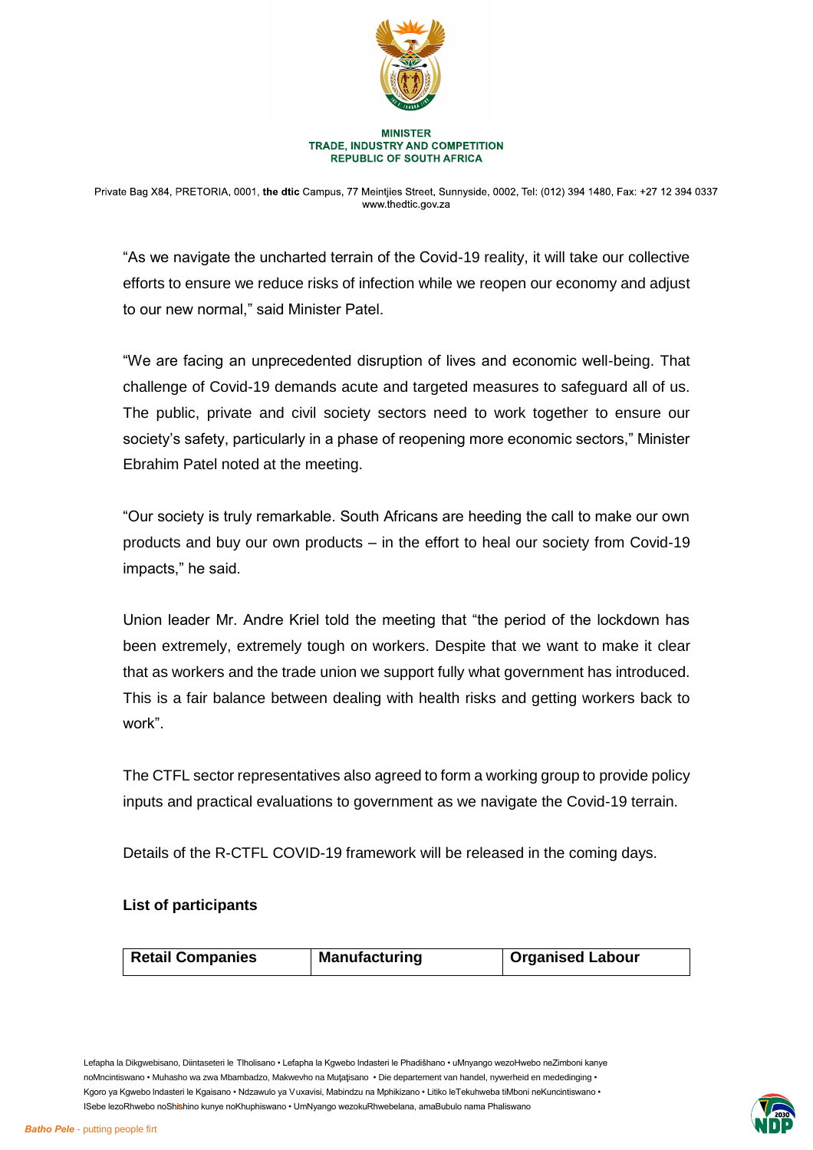

Private Bag X84, PRETORIA, 0001, the dtic Campus, 77 Meintjies Street, Sunnyside, 0002, Tel: (012) 394 1480, Fax: +27 12 394 0337 www.thedtic.gov.za

"As we navigate the uncharted terrain of the Covid-19 reality, it will take our collective efforts to ensure we reduce risks of infection while we reopen our economy and adjust to our new normal," said Minister Patel.

"We are facing an unprecedented disruption of lives and economic well-being. That challenge of Covid-19 demands acute and targeted measures to safeguard all of us. The public, private and civil society sectors need to work together to ensure our society's safety, particularly in a phase of reopening more economic sectors," Minister Ebrahim Patel noted at the meeting.

"Our society is truly remarkable. South Africans are heeding the call to make our own products and buy our own products – in the effort to heal our society from Covid-19 impacts," he said.

Union leader Mr. Andre Kriel told the meeting that "the period of the lockdown has been extremely, extremely tough on workers. Despite that we want to make it clear that as workers and the trade union we support fully what government has introduced. This is a fair balance between dealing with health risks and getting workers back to work".

The CTFL sector representatives also agreed to form a working group to provide policy inputs and practical evaluations to government as we navigate the Covid-19 terrain.

Details of the R-CTFL COVID-19 framework will be released in the coming days.

### **List of participants**

|  | <b>Retail Companies</b> | <b>Manufacturing</b> | <b>Organised Labour</b> |
|--|-------------------------|----------------------|-------------------------|
|--|-------------------------|----------------------|-------------------------|